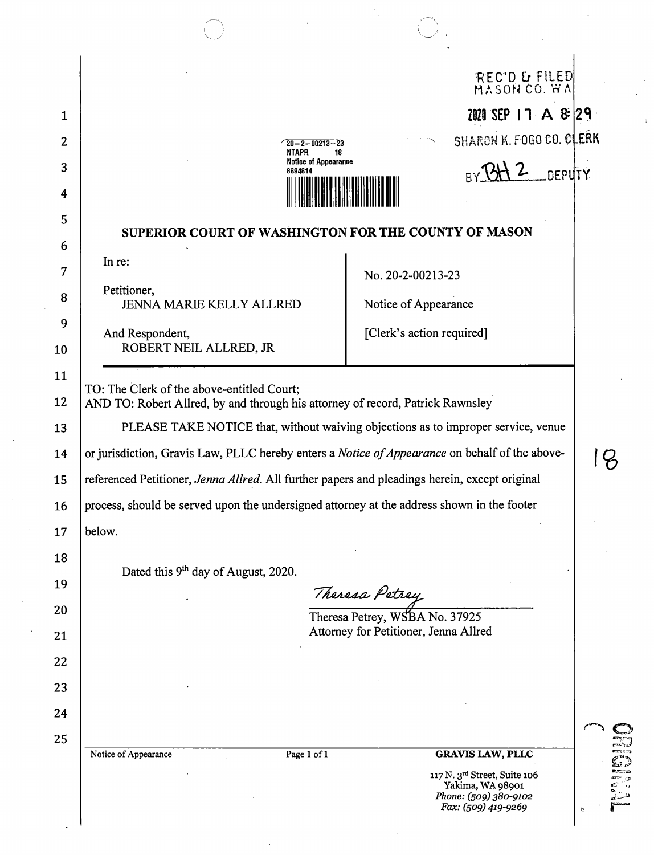|        |                                                                                                                              |                                                                    | REC'D & FILED<br>MASON CO. WA                    |               |  |
|--------|------------------------------------------------------------------------------------------------------------------------------|--------------------------------------------------------------------|--------------------------------------------------|---------------|--|
|        |                                                                                                                              |                                                                    |                                                  |               |  |
|        |                                                                                                                              |                                                                    | 2020 SEP 17 A & 29                               |               |  |
|        | NTAPR                                                                                                                        | $\degree$ 20 – 2 – 00213 – 23<br>18<br><b>Notice of Appearance</b> | SHARON K. FOGO CO. CLERK                         |               |  |
|        | 8894814                                                                                                                      |                                                                    |                                                  | <b>DEPUTY</b> |  |
|        |                                                                                                                              |                                                                    |                                                  |               |  |
|        | SUPERIOR COURT OF WASHINGTON FOR THE COUNTY OF MASON                                                                         |                                                                    |                                                  |               |  |
|        | In re:                                                                                                                       |                                                                    | No. 20-2-00213-23                                |               |  |
|        | Petitioner,                                                                                                                  |                                                                    |                                                  |               |  |
|        | <b>JENNA MARIE KELLY ALLRED</b>                                                                                              |                                                                    | Notice of Appearance                             |               |  |
|        | And Respondent,<br>ROBERT NEIL ALLRED, JR                                                                                    |                                                                    | [Clerk's action required]                        |               |  |
|        |                                                                                                                              |                                                                    |                                                  |               |  |
|        | TO: The Clerk of the above-entitled Court;<br>AND TO: Robert Allred, by and through his attorney of record, Patrick Rawnsley |                                                                    |                                                  |               |  |
|        | PLEASE TAKE NOTICE that, without waiving objections as to improper service, venue                                            |                                                                    |                                                  |               |  |
|        | or jurisdiction, Gravis Law, PLLC hereby enters a <i>Notice of Appearance</i> on behalf of the above-                        |                                                                    |                                                  |               |  |
|        | referenced Petitioner, Jenna Allred. All further papers and pleadings herein, except original                                |                                                                    |                                                  |               |  |
|        | process, should be served upon the undersigned attorney at the address shown in the footer                                   |                                                                    |                                                  |               |  |
| below. |                                                                                                                              |                                                                    |                                                  |               |  |
|        |                                                                                                                              |                                                                    |                                                  |               |  |
|        | Dated this 9 <sup>th</sup> day of August, 2020.                                                                              |                                                                    |                                                  |               |  |
|        |                                                                                                                              |                                                                    | Theresa Petrey<br>Theresa Petrey, WSBA No. 37925 |               |  |
|        |                                                                                                                              |                                                                    | Attorney for Petitioner, Jenna Allred            |               |  |
|        |                                                                                                                              |                                                                    |                                                  |               |  |
|        |                                                                                                                              |                                                                    |                                                  |               |  |
|        |                                                                                                                              |                                                                    |                                                  |               |  |
|        |                                                                                                                              |                                                                    |                                                  |               |  |
|        | Notice of Appearance                                                                                                         | Page 1 of 1                                                        | <b>GRAVIS LAW, PLLC</b>                          |               |  |
|        |                                                                                                                              |                                                                    | 117 N. 3rd Street, Suite 106<br>Yakima, WA 98901 |               |  |

 $\mathbb{R}$ 

 $\ddot{\cdot}$ 

و: :::::::<br>المراجع<br>المراجع شمنان<br>منصول